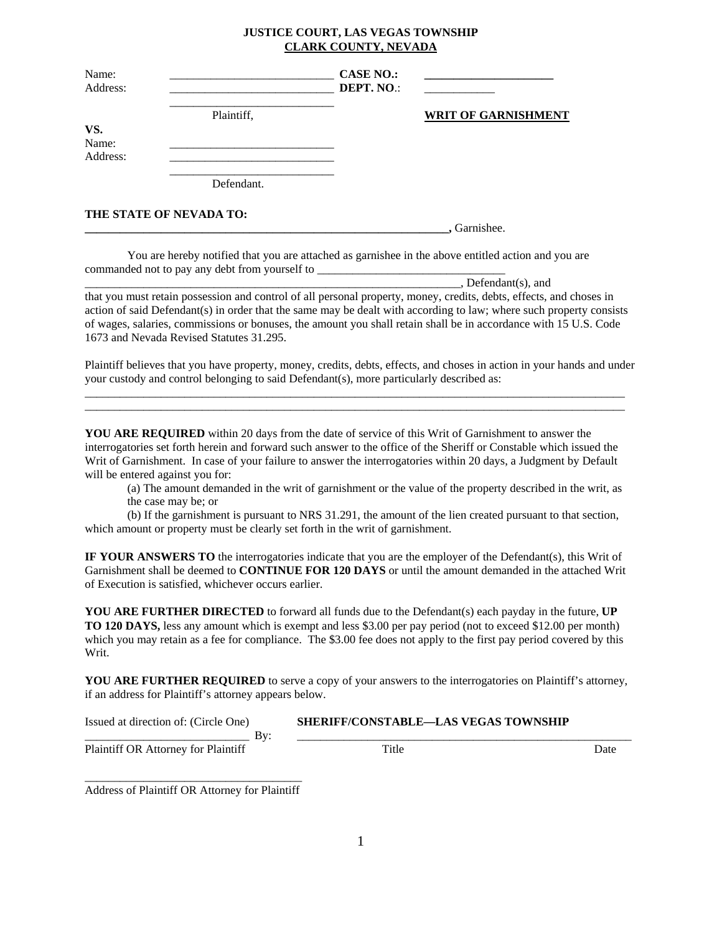## **JUSTICE COURT, LAS VEGAS TOWNSHIP CLARK COUNTY, NEVADA**

| Name:<br>Address: |                         | <b>CASE NO.:</b><br>DEPT. NO.: |                            |
|-------------------|-------------------------|--------------------------------|----------------------------|
|                   | Plaintiff,              |                                | <b>WRIT OF GARNISHMENT</b> |
| VS.               |                         |                                |                            |
| Name:             |                         |                                |                            |
| Address:          |                         |                                |                            |
|                   | Defendant.              |                                |                            |
|                   | THE STATE OF NEVADA TO: |                                |                            |
|                   |                         |                                | , Garnishee.               |

 You are hereby notified that you are attached as garnishee in the above entitled action and you are commanded not to pay any debt from yourself to

 $\Box$ , Defendant(s), and

that you must retain possession and control of all personal property, money, credits, debts, effects, and choses in action of said Defendant(s) in order that the same may be dealt with according to law; where such property consists of wages, salaries, commissions or bonuses, the amount you shall retain shall be in accordance with 15 U.S. Code 1673 and Nevada Revised Statutes 31.295.

Plaintiff believes that you have property, money, credits, debts, effects, and choses in action in your hands and under your custody and control belonging to said Defendant(s), more particularly described as: \_\_\_\_\_\_\_\_\_\_\_\_\_\_\_\_\_\_\_\_\_\_\_\_\_\_\_\_\_\_\_\_\_\_\_\_\_\_\_\_\_\_\_\_\_\_\_\_\_\_\_\_\_\_\_\_\_\_\_\_\_\_\_\_\_\_\_\_\_\_\_\_\_\_\_\_\_\_\_\_\_\_\_\_\_\_\_\_\_\_\_\_

\_\_\_\_\_\_\_\_\_\_\_\_\_\_\_\_\_\_\_\_\_\_\_\_\_\_\_\_\_\_\_\_\_\_\_\_\_\_\_\_\_\_\_\_\_\_\_\_\_\_\_\_\_\_\_\_\_\_\_\_\_\_\_\_\_\_\_\_\_\_\_\_\_\_\_\_\_\_\_\_\_\_\_\_\_\_\_\_\_\_\_\_

YOU ARE REQUIRED within 20 days from the date of service of this Writ of Garnishment to answer the interrogatories set forth herein and forward such answer to the office of the Sheriff or Constable which issued the Writ of Garnishment. In case of your failure to answer the interrogatories within 20 days, a Judgment by Default will be entered against you for:

(a) The amount demanded in the writ of garnishment or the value of the property described in the writ, as the case may be; or

(b) If the garnishment is pursuant to NRS 31.291, the amount of the lien created pursuant to that section, which amount or property must be clearly set forth in the writ of garnishment.

**IF YOUR ANSWERS TO** the interrogatories indicate that you are the employer of the Defendant(s), this Writ of Garnishment shall be deemed to **CONTINUE FOR 120 DAYS** or until the amount demanded in the attached Writ of Execution is satisfied, whichever occurs earlier.

**YOU ARE FURTHER DIRECTED** to forward all funds due to the Defendant(s) each payday in the future, **UP TO 120 DAYS,** less any amount which is exempt and less \$3.00 per pay period (not to exceed \$12.00 per month) which you may retain as a fee for compliance. The \$3.00 fee does not apply to the first pay period covered by this Writ.

**YOU ARE FURTHER REQUIRED** to serve a copy of your answers to the interrogatories on Plaintiff's attorney, if an address for Plaintiff's attorney appears below.

| <b>Issued</b><br>: direction of: (Circle One)<br>at | <b>SHERIFF/CONSTABLE—LAS VEGAS TOWNSHIP</b> |
|-----------------------------------------------------|---------------------------------------------|
| . .                                                 |                                             |

Plaintiff OR Attorney for Plaintiff Title Title Date

\_\_\_\_\_\_\_\_\_\_\_\_\_\_\_\_\_\_\_\_\_\_\_\_\_\_\_\_\_\_\_\_\_\_\_\_\_ Address of Plaintiff OR Attorney for Plaintiff